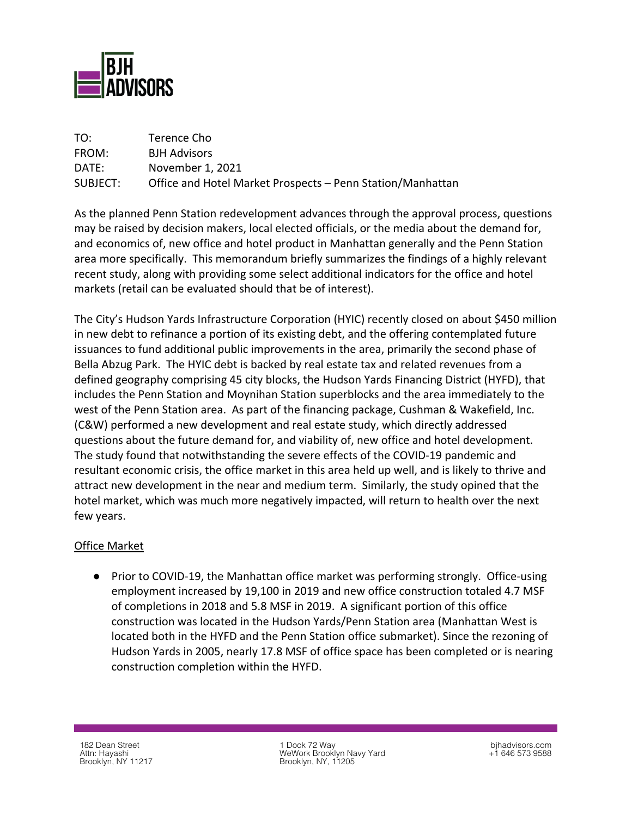

| TO:      | Terence Cho                                                |
|----------|------------------------------------------------------------|
| FROM:    | <b>BJH Advisors</b>                                        |
| DATE:    | November 1, 2021                                           |
| SUBJECT: | Office and Hotel Market Prospects – Penn Station/Manhattan |

As the planned Penn Station redevelopment advances through the approval process, questions may be raised by decision makers, local elected officials, or the media about the demand for, and economics of, new office and hotel product in Manhattan generally and the Penn Station area more specifically. This memorandum briefly summarizes the findings of a highly relevant recent study, along with providing some select additional indicators for the office and hotel markets (retail can be evaluated should that be of interest).

The City's Hudson Yards Infrastructure Corporation (HYIC) recently closed on about \$450 million in new debt to refinance a portion of its existing debt, and the offering contemplated future issuances to fund additional public improvements in the area, primarily the second phase of Bella Abzug Park. The HYIC debt is backed by real estate tax and related revenues from a defined geography comprising 45 city blocks, the Hudson Yards Financing District (HYFD), that includes the Penn Station and Moynihan Station superblocks and the area immediately to the west of the Penn Station area. As part of the financing package, Cushman & Wakefield, Inc. (C&W) performed a new development and real estate study, which directly addressed questions about the future demand for, and viability of, new office and hotel development. The study found that notwithstanding the severe effects of the COVID-19 pandemic and resultant economic crisis, the office market in this area held up well, and is likely to thrive and attract new development in the near and medium term. Similarly, the study opined that the hotel market, which was much more negatively impacted, will return to health over the next few years.

## Office Market

● Prior to COVID-19, the Manhattan office market was performing strongly. Office-using employment increased by 19,100 in 2019 and new office construction totaled 4.7 MSF of completions in 2018 and 5.8 MSF in 2019. A significant portion of this office construction was located in the Hudson Yards/Penn Station area (Manhattan West is located both in the HYFD and the Penn Station office submarket). Since the rezoning of Hudson Yards in 2005, nearly 17.8 MSF of office space has been completed or is nearing construction completion within the HYFD.

182 Dean Street Attn: Hayashi Brooklyn, NY 11217

1 Dock 72 Way WeWork Brooklyn Navy Yard Brooklyn, NY, 11205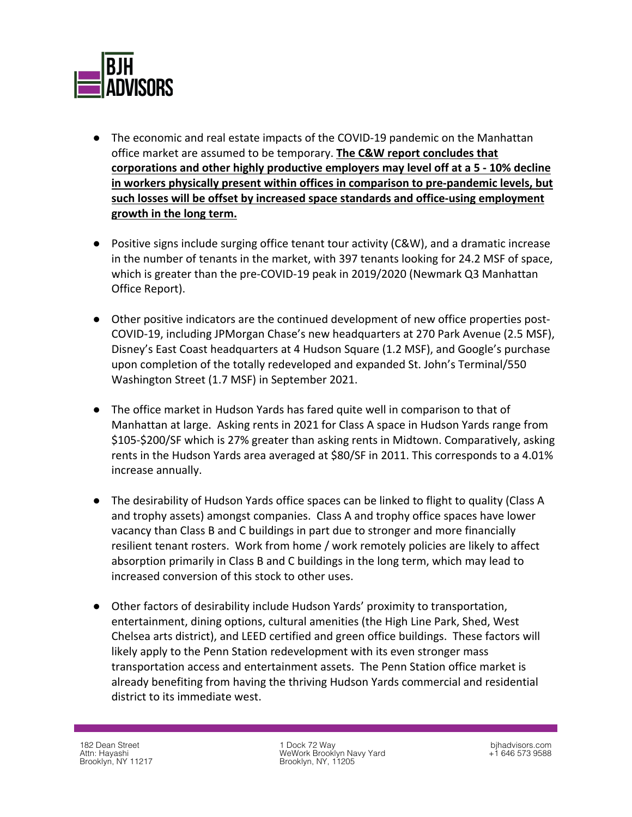

- The economic and real estate impacts of the COVID-19 pandemic on the Manhattan office market are assumed to be temporary. **The C&W report concludes that corporations and other highly productive employers may level off at a 5 - 10% decline in workers physically present within offices in comparison to pre-pandemic levels, but such losses will be offset by increased space standards and office-using employment growth in the long term.**
- Positive signs include surging office tenant tour activity (C&W), and a dramatic increase in the number of tenants in the market, with 397 tenants looking for 24.2 MSF of space, which is greater than the pre-COVID-19 peak in 2019/2020 (Newmark Q3 Manhattan Office Report).
- Other positive indicators are the continued development of new office properties post-COVID-19, including JPMorgan Chase's new headquarters at 270 Park Avenue (2.5 MSF), Disney's East Coast headquarters at 4 Hudson Square (1.2 MSF), and Google's purchase upon completion of the totally redeveloped and expanded St. John's Terminal/550 Washington Street (1.7 MSF) in September 2021.
- The office market in Hudson Yards has fared quite well in comparison to that of Manhattan at large. Asking rents in 2021 for Class A space in Hudson Yards range from \$105-\$200/SF which is 27% greater than asking rents in Midtown. Comparatively, asking rents in the Hudson Yards area averaged at \$80/SF in 2011. This corresponds to a 4.01% increase annually.
- The desirability of Hudson Yards office spaces can be linked to flight to quality (Class A and trophy assets) amongst companies. Class A and trophy office spaces have lower vacancy than Class B and C buildings in part due to stronger and more financially resilient tenant rosters. Work from home / work remotely policies are likely to affect absorption primarily in Class B and C buildings in the long term, which may lead to increased conversion of this stock to other uses.
- Other factors of desirability include Hudson Yards' proximity to transportation, entertainment, dining options, cultural amenities (the High Line Park, Shed, West Chelsea arts district), and LEED certified and green office buildings. These factors will likely apply to the Penn Station redevelopment with its even stronger mass transportation access and entertainment assets. The Penn Station office market is already benefiting from having the thriving Hudson Yards commercial and residential district to its immediate west.

1 Dock 72 Way WeWork Brooklyn Navy Yard Brooklyn, NY, 11205